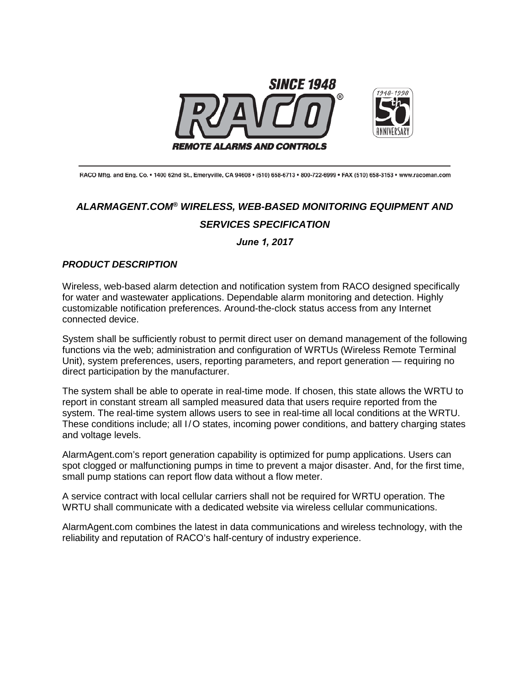

RACO Mftg. and Eng. Co. • 1400 62nd St., Emeryville, CA 94608 • (510) 658-6713 • 800-722-6999 • FAX (510) 658-3153 • www.racoman.com

# *ALARMAGENT.COM® WIRELESS, WEB-BASED MONITORING EQUIPMENT AND SERVICES SPECIFICATION*

*June 1, 2017*

# *PRODUCT DESCRIPTION*

Wireless, web-based alarm detection and notification system from RACO designed specifically for water and wastewater applications. Dependable alarm monitoring and detection. Highly customizable notification preferences. Around-the-clock status access from any Internet connected device.

System shall be sufficiently robust to permit direct user on demand management of the following functions via the web; administration and configuration of WRTUs (Wireless Remote Terminal Unit), system preferences, users, reporting parameters, and report generation — requiring no direct participation by the manufacturer.

The system shall be able to operate in real-time mode. If chosen, this state allows the WRTU to report in constant stream all sampled measured data that users require reported from the system. The real-time system allows users to see in real-time all local conditions at the WRTU. These conditions include; all I/O states, incoming power conditions, and battery charging states and voltage levels.

AlarmAgent.com's report generation capability is optimized for pump applications. Users can spot clogged or malfunctioning pumps in time to prevent a major disaster. And, for the first time, small pump stations can report flow data without a flow meter.

A service contract with local cellular carriers shall not be required for WRTU operation. The WRTU shall communicate with a dedicated website via wireless cellular communications.

AlarmAgent.com combines the latest in data communications and wireless technology, with the reliability and reputation of RACO's half-century of industry experience.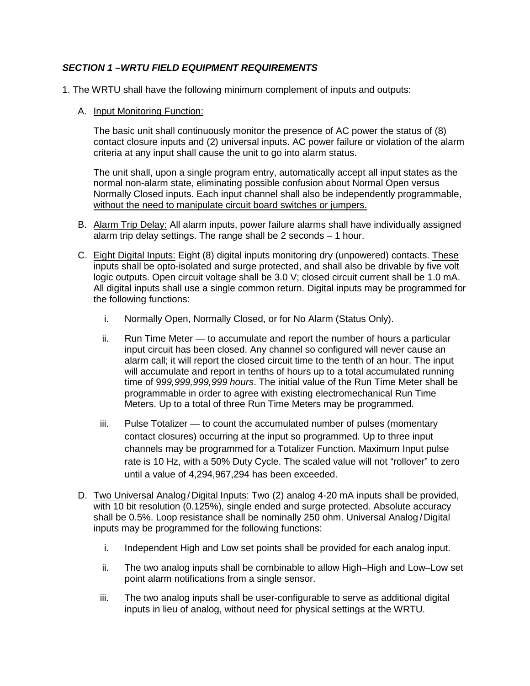# *SECTION 1 –WRTU FIELD EQUIPMENT REQUIREMENTS*

- 1. The WRTU shall have the following minimum complement of inputs and outputs:
	- A. Input Monitoring Function:

The basic unit shall continuously monitor the presence of AC power the status of (8) contact closure inputs and (2) universal inputs. AC power failure or violation of the alarm criteria at any input shall cause the unit to go into alarm status.

The unit shall, upon a single program entry, automatically accept all input states as the normal non-alarm state, eliminating possible confusion about Normal Open versus Normally Closed inputs. Each input channel shall also be independently programmable, without the need to manipulate circuit board switches or jumpers.

- B. Alarm Trip Delay: All alarm inputs, power failure alarms shall have individually assigned alarm trip delay settings. The range shall be 2 seconds – 1 hour.
- C. Eight Digital Inputs: Eight (8) digital inputs monitoring dry (unpowered) contacts. These inputs shall be opto-isolated and surge protected, and shall also be drivable by five volt logic outputs. Open circuit voltage shall be 3.0 V; closed circuit current shall be 1.0 mA. All digital inputs shall use a single common return. Digital inputs may be programmed for the following functions:
	- i. Normally Open, Normally Closed, or for No Alarm (Status Only).
	- ii. Run Time Meter to accumulate and report the number of hours a particular input circuit has been closed. Any channel so configured will never cause an alarm call; it will report the closed circuit time to the tenth of an hour. The input will accumulate and report in tenths of hours up to a total accumulated running time of 9*99,999,999,999 hours*. The initial value of the Run Time Meter shall be programmable in order to agree with existing electromechanical Run Time Meters. Up to a total of three Run Time Meters may be programmed.
	- iii. Pulse Totalizer to count the accumulated number of pulses (momentary contact closures) occurring at the input so programmed. Up to three input channels may be programmed for a Totalizer Function. Maximum Input pulse rate is 10 Hz, with a 50% Duty Cycle. The scaled value will not "rollover" to zero until a value of 4,294,967,294 has been exceeded.
- D. Two Universal Analog / Digital Inputs: Two (2) analog 4-20 mA inputs shall be provided, with 10 bit resolution (0.125%), single ended and surge protected. Absolute accuracy shall be 0.5%. Loop resistance shall be nominally 250 ohm. Universal Analog /Digital inputs may be programmed for the following functions:
	- i. Independent High and Low set points shall be provided for each analog input.
	- ii. The two analog inputs shall be combinable to allow High–High and Low–Low set point alarm notifications from a single sensor.
	- iii. The two analog inputs shall be user-configurable to serve as additional digital inputs in lieu of analog, without need for physical settings at the WRTU.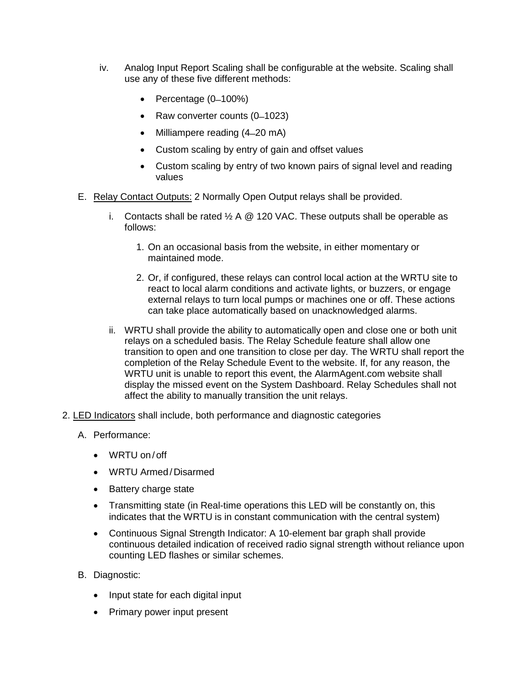- iv. Analog Input Report Scaling shall be configurable at the website. Scaling shall use any of these five different methods:
	- Percentage  $(0-100%)$
	- Raw converter counts (0–1023)
	- Milliampere reading (4–20 mA)
	- Custom scaling by entry of gain and offset values
	- Custom scaling by entry of two known pairs of signal level and reading values
- E. Relay Contact Outputs: 2 Normally Open Output relays shall be provided.
	- i. Contacts shall be rated  $\frac{1}{2}$  A  $\textcircled{2}$  120 VAC. These outputs shall be operable as follows:
		- 1. On an occasional basis from the website, in either momentary or maintained mode.
		- 2. Or, if configured, these relays can control local action at the WRTU site to react to local alarm conditions and activate lights, or buzzers, or engage external relays to turn local pumps or machines one or off. These actions can take place automatically based on unacknowledged alarms.
	- ii. WRTU shall provide the ability to automatically open and close one or both unit relays on a scheduled basis. The Relay Schedule feature shall allow one transition to open and one transition to close per day. The WRTU shall report the completion of the Relay Schedule Event to the website. If, for any reason, the WRTU unit is unable to report this event, the AlarmAgent.com website shall display the missed event on the System Dashboard. Relay Schedules shall not affect the ability to manually transition the unit relays.
- 2. LED Indicators shall include, both performance and diagnostic categories
	- A. Performance:
		- WRTU on /off
		- WRTU Armed /Disarmed
		- Battery charge state
		- Transmitting state (in Real-time operations this LED will be constantly on, this indicates that the WRTU is in constant communication with the central system)
		- Continuous Signal Strength Indicator: A 10-element bar graph shall provide continuous detailed indication of received radio signal strength without reliance upon counting LED flashes or similar schemes.
	- B. Diagnostic:
		- Input state for each digital input
		- Primary power input present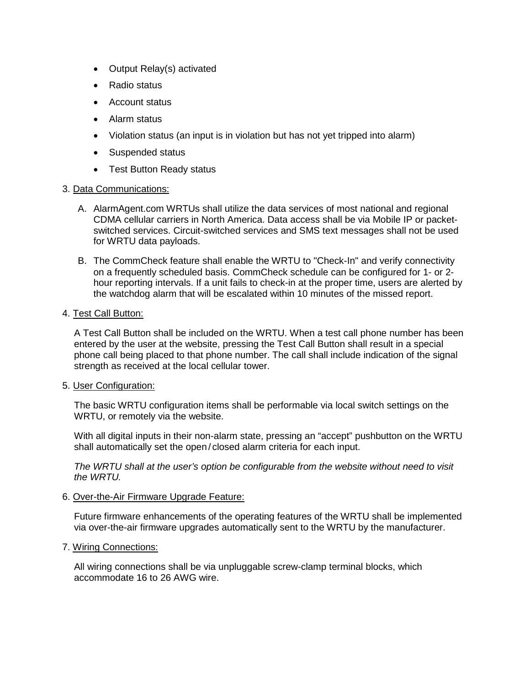- Output Relay(s) activated
- Radio status
- Account status
- Alarm status
- Violation status (an input is in violation but has not yet tripped into alarm)
- Suspended status
- Test Button Ready status

#### 3. Data Communications:

- A. AlarmAgent.com WRTUs shall utilize the data services of most national and regional CDMA cellular carriers in North America. Data access shall be via Mobile IP or packetswitched services. Circuit-switched services and SMS text messages shall not be used for WRTU data payloads.
- B. The CommCheck feature shall enable the WRTU to "Check-In" and verify connectivity on a frequently scheduled basis. CommCheck schedule can be configured for 1- or 2 hour reporting intervals. If a unit fails to check-in at the proper time, users are alerted by the watchdog alarm that will be escalated within 10 minutes of the missed report.

#### 4. Test Call Button:

A Test Call Button shall be included on the WRTU. When a test call phone number has been entered by the user at the website, pressing the Test Call Button shall result in a special phone call being placed to that phone number. The call shall include indication of the signal strength as received at the local cellular tower.

#### 5. User Configuration:

The basic WRTU configuration items shall be performable via local switch settings on the WRTU, or remotely via the website.

With all digital inputs in their non-alarm state, pressing an "accept" pushbutton on the WRTU shall automatically set the open / closed alarm criteria for each input.

*The WRTU shall at the user's option be configurable from the website without need to visit the WRTU.*

6. Over-the-Air Firmware Upgrade Feature:

Future firmware enhancements of the operating features of the WRTU shall be implemented via over-the-air firmware upgrades automatically sent to the WRTU by the manufacturer.

# 7. Wiring Connections:

All wiring connections shall be via unpluggable screw-clamp terminal blocks, which accommodate 16 to 26 AWG wire.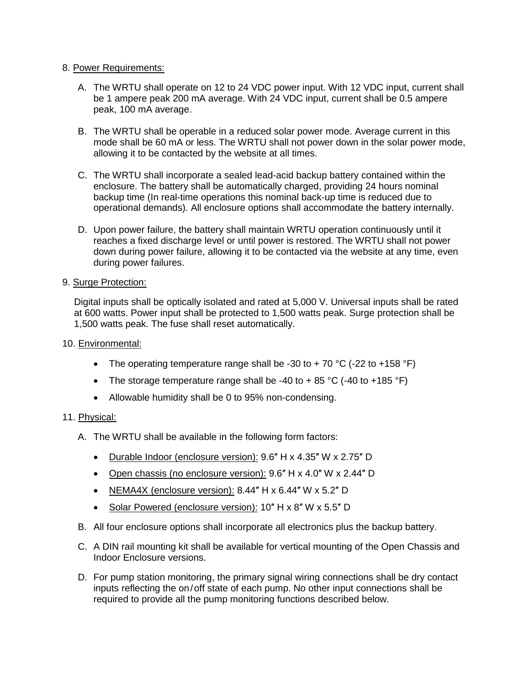#### 8. Power Requirements:

- A. The WRTU shall operate on 12 to 24 VDC power input. With 12 VDC input, current shall be 1 ampere peak 200 mA average. With 24 VDC input, current shall be 0.5 ampere peak, 100 mA average.
- B. The WRTU shall be operable in a reduced solar power mode. Average current in this mode shall be 60 mA or less. The WRTU shall not power down in the solar power mode, allowing it to be contacted by the website at all times.
- C. The WRTU shall incorporate a sealed lead-acid backup battery contained within the enclosure. The battery shall be automatically charged, providing 24 hours nominal backup time (In real-time operations this nominal back-up time is reduced due to operational demands). All enclosure options shall accommodate the battery internally.
- D. Upon power failure, the battery shall maintain WRTU operation continuously until it reaches a fixed discharge level or until power is restored. The WRTU shall not power down during power failure, allowing it to be contacted via the website at any time, even during power failures.

# 9. Surge Protection:

Digital inputs shall be optically isolated and rated at 5,000 V. Universal inputs shall be rated at 600 watts. Power input shall be protected to 1,500 watts peak. Surge protection shall be 1,500 watts peak. The fuse shall reset automatically.

# 10. Environmental:

- The operating temperature range shall be -30 to + 70  $^{\circ}$ C (-22 to +158  $^{\circ}$ F)
- The storage temperature range shall be -40 to + 85 °C (-40 to +185 °F)
- Allowable humidity shall be 0 to 95% non-condensing.

# 11. Physical:

- A. The WRTU shall be available in the following form factors:
	- Durable Indoor (enclosure version): 9.6" H x 4.35" W x 2.75" D
	- Open chassis (no enclosure version): 9.6" H x 4.0" W x 2.44" D
	- NEMA4X (enclosure version): 8.44″ H x 6.44″ W x 5.2″ D
	- Solar Powered (enclosure version): 10" H x 8" W x 5.5" D
- B. All four enclosure options shall incorporate all electronics plus the backup battery.
- C. A DIN rail mounting kit shall be available for vertical mounting of the Open Chassis and Indoor Enclosure versions.
- D. For pump station monitoring, the primary signal wiring connections shall be dry contact inputs reflecting the on/off state of each pump. No other input connections shall be required to provide all the pump monitoring functions described below.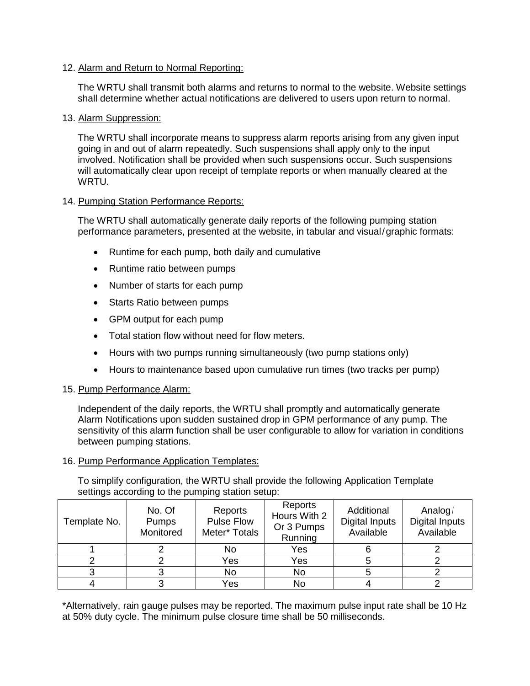### 12. Alarm and Return to Normal Reporting:

The WRTU shall transmit both alarms and returns to normal to the website. Website settings shall determine whether actual notifications are delivered to users upon return to normal.

#### 13. Alarm Suppression:

The WRTU shall incorporate means to suppress alarm reports arising from any given input going in and out of alarm repeatedly. Such suspensions shall apply only to the input involved. Notification shall be provided when such suspensions occur. Such suspensions will automatically clear upon receipt of template reports or when manually cleared at the **WRTU.** 

#### 14. Pumping Station Performance Reports:

The WRTU shall automatically generate daily reports of the following pumping station performance parameters, presented at the website, in tabular and visual/graphic formats:

- Runtime for each pump, both daily and cumulative
- Runtime ratio between pumps
- Number of starts for each pump
- Starts Ratio between pumps
- GPM output for each pump
- Total station flow without need for flow meters.
- Hours with two pumps running simultaneously (two pump stations only)
- Hours to maintenance based upon cumulative run times (two tracks per pump)

#### 15. Pump Performance Alarm:

Independent of the daily reports, the WRTU shall promptly and automatically generate Alarm Notifications upon sudden sustained drop in GPM performance of any pump. The sensitivity of this alarm function shall be user configurable to allow for variation in conditions between pumping stations.

#### 16. Pump Performance Application Templates:

To simplify configuration, the WRTU shall provide the following Application Template settings according to the pumping station setup:

| Template No. | No. Of<br>Pumps<br>Monitored | Reports<br><b>Pulse Flow</b><br>Meter* Totals | Reports<br>Hours With 2<br>Or 3 Pumps<br>Running | Additional<br><b>Digital Inputs</b><br>Available | Analog/<br><b>Digital Inputs</b><br>Available |
|--------------|------------------------------|-----------------------------------------------|--------------------------------------------------|--------------------------------------------------|-----------------------------------------------|
|              |                              | No                                            | Yes                                              |                                                  |                                               |
|              |                              | Yes                                           | Yes                                              |                                                  |                                               |
|              |                              | No                                            | No                                               |                                                  |                                               |
|              |                              | Yes                                           | No                                               |                                                  |                                               |

\*Alternatively, rain gauge pulses may be reported. The maximum pulse input rate shall be 10 Hz at 50% duty cycle. The minimum pulse closure time shall be 50 milliseconds.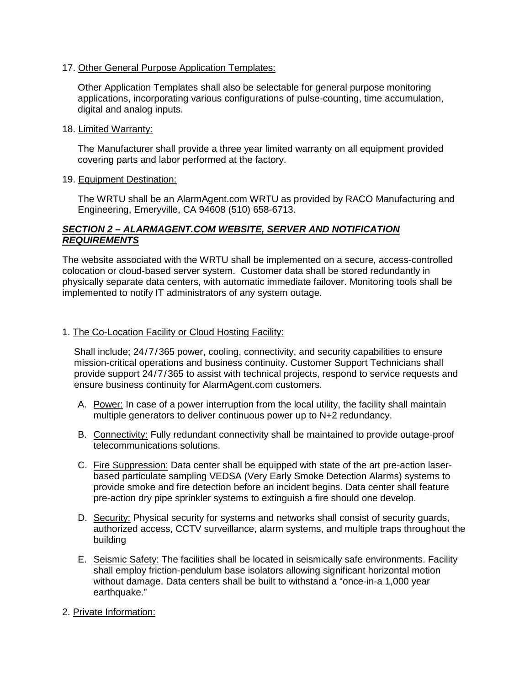17. Other General Purpose Application Templates:

Other Application Templates shall also be selectable for general purpose monitoring applications, incorporating various configurations of pulse-counting, time accumulation, digital and analog inputs.

18. Limited Warranty:

The Manufacturer shall provide a three year limited warranty on all equipment provided covering parts and labor performed at the factory.

19. Equipment Destination:

The WRTU shall be an AlarmAgent.com WRTU as provided by RACO Manufacturing and Engineering, Emeryville, CA 94608 (510) 658-6713.

# *SECTION 2 – ALARMAGENT.COM WEBSITE, SERVER AND NOTIFICATION REQUIREMENTS*

The website associated with the WRTU shall be implemented on a secure, access-controlled colocation or cloud-based server system. Customer data shall be stored redundantly in physically separate data centers, with automatic immediate failover. Monitoring tools shall be implemented to notify IT administrators of any system outage.

#### 1. The Co-Location Facility or Cloud Hosting Facility:

Shall include; 24/7/365 power, cooling, connectivity, and security capabilities to ensure mission-critical operations and business continuity. Customer Support Technicians shall provide support 24/7/365 to assist with technical projects, respond to service requests and ensure business continuity for AlarmAgent.com customers.

- A. Power: In case of a power interruption from the local utility, the facility shall maintain multiple generators to deliver continuous power up to N+2 redundancy.
- B. Connectivity: Fully redundant connectivity shall be maintained to provide outage-proof telecommunications solutions.
- C. Fire Suppression: Data center shall be equipped with state of the art pre-action laserbased particulate sampling VEDSA (Very Early Smoke Detection Alarms) systems to provide smoke and fire detection before an incident begins. Data center shall feature pre-action dry pipe sprinkler systems to extinguish a fire should one develop.
- D. Security: Physical security for systems and networks shall consist of security guards, authorized access, CCTV surveillance, alarm systems, and multiple traps throughout the building
- E. Seismic Safety: The facilities shall be located in seismically safe environments. Facility shall employ friction-pendulum base isolators allowing significant horizontal motion without damage. Data centers shall be built to withstand a "once-in-a 1,000 year earthquake."
- 2. Private Information: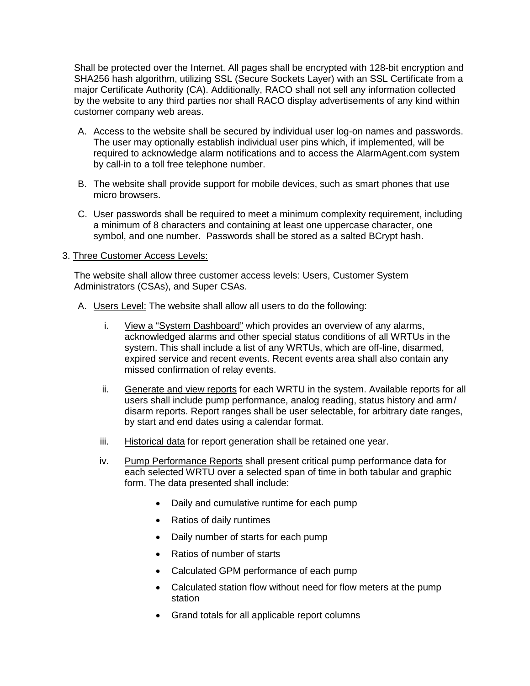Shall be protected over the Internet. All pages shall be encrypted with 128-bit encryption and SHA256 hash algorithm, utilizing SSL (Secure Sockets Layer) with an SSL Certificate from a major Certificate Authority (CA). Additionally, RACO shall not sell any information collected by the website to any third parties nor shall RACO display advertisements of any kind within customer company web areas.

- A. Access to the website shall be secured by individual user log-on names and passwords. The user may optionally establish individual user pins which, if implemented, will be required to acknowledge alarm notifications and to access the AlarmAgent.com system by call-in to a toll free telephone number.
- B. The website shall provide support for mobile devices, such as smart phones that use micro browsers.
- C. User passwords shall be required to meet a minimum complexity requirement, including a minimum of 8 characters and containing at least one uppercase character, one symbol, and one number. Passwords shall be stored as a salted BCrypt hash.

#### 3. Three Customer Access Levels:

The website shall allow three customer access levels: Users, Customer System Administrators (CSAs), and Super CSAs.

- A. Users Level: The website shall allow all users to do the following:
	- i. View a "System Dashboard" which provides an overview of any alarms, acknowledged alarms and other special status conditions of all WRTUs in the system. This shall include a list of any WRTUs, which are off-line, disarmed, expired service and recent events. Recent events area shall also contain any missed confirmation of relay events.
	- ii. Generate and view reports for each WRTU in the system. Available reports for all users shall include pump performance, analog reading, status history and arm/ disarm reports. Report ranges shall be user selectable, for arbitrary date ranges, by start and end dates using a calendar format.
	- iii. Historical data for report generation shall be retained one year.
	- iv. Pump Performance Reports shall present critical pump performance data for each selected WRTU over a selected span of time in both tabular and graphic form. The data presented shall include:
		- Daily and cumulative runtime for each pump
		- Ratios of daily runtimes
		- Daily number of starts for each pump
		- Ratios of number of starts
		- Calculated GPM performance of each pump
		- Calculated station flow without need for flow meters at the pump station
		- Grand totals for all applicable report columns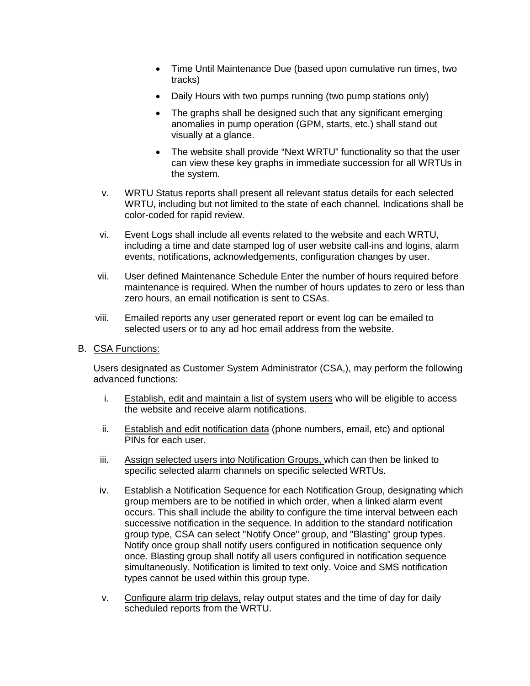- Time Until Maintenance Due (based upon cumulative run times, two tracks)
- Daily Hours with two pumps running (two pump stations only)
- The graphs shall be designed such that any significant emerging anomalies in pump operation (GPM, starts, etc.) shall stand out visually at a glance.
- The website shall provide "Next WRTU" functionality so that the user can view these key graphs in immediate succession for all WRTUs in the system.
- v. WRTU Status reports shall present all relevant status details for each selected WRTU, including but not limited to the state of each channel. Indications shall be color-coded for rapid review.
- vi. Event Logs shall include all events related to the website and each WRTU, including a time and date stamped log of user website call-ins and logins, alarm events, notifications, acknowledgements, configuration changes by user.
- vii. User defined Maintenance Schedule Enter the number of hours required before maintenance is required. When the number of hours updates to zero or less than zero hours, an email notification is sent to CSAs.
- viii. Emailed reports any user generated report or event log can be emailed to selected users or to any ad hoc email address from the website.
- B. CSA Functions:

Users designated as Customer System Administrator (CSA,), may perform the following advanced functions:

- i. Establish, edit and maintain a list of system users who will be eligible to access the website and receive alarm notifications.
- ii. Establish and edit notification data (phone numbers, email, etc) and optional PINs for each user.
- iii. Assign selected users into Notification Groups, which can then be linked to specific selected alarm channels on specific selected WRTUs.
- iv. Establish a Notification Sequence for each Notification Group, designating which group members are to be notified in which order, when a linked alarm event occurs. This shall include the ability to configure the time interval between each successive notification in the sequence. In addition to the standard notification group type, CSA can select "Notify Once" group, and "Blasting" group types. Notify once group shall notify users configured in notification sequence only once. Blasting group shall notify all users configured in notification sequence simultaneously. Notification is limited to text only. Voice and SMS notification types cannot be used within this group type.
- v. Configure alarm trip delays, relay output states and the time of day for daily scheduled reports from the WRTU.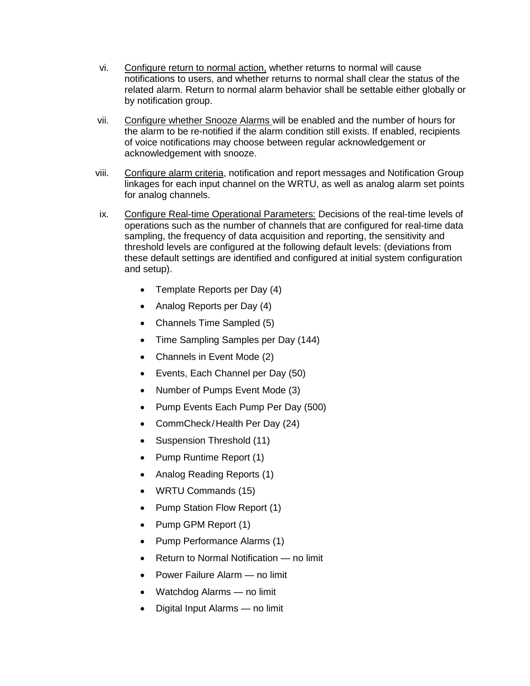- vi. Configure return to normal action, whether returns to normal will cause notifications to users, and whether returns to normal shall clear the status of the related alarm. Return to normal alarm behavior shall be settable either globally or by notification group.
- vii. Configure whether Snooze Alarms will be enabled and the number of hours for the alarm to be re-notified if the alarm condition still exists. If enabled, recipients of voice notifications may choose between regular acknowledgement or acknowledgement with snooze.
- viii. Configure alarm criteria, notification and report messages and Notification Group linkages for each input channel on the WRTU, as well as analog alarm set points for analog channels.
- ix. Configure Real-time Operational Parameters: Decisions of the real-time levels of operations such as the number of channels that are configured for real-time data sampling, the frequency of data acquisition and reporting, the sensitivity and threshold levels are configured at the following default levels: (deviations from these default settings are identified and configured at initial system configuration and setup).
	- Template Reports per Day (4)
	- Analog Reports per Day (4)
	- Channels Time Sampled (5)
	- Time Sampling Samples per Day (144)
	- Channels in Event Mode (2)
	- Events, Each Channel per Day (50)
	- Number of Pumps Event Mode (3)
	- Pump Events Each Pump Per Day (500)
	- CommCheck/Health Per Day (24)
	- Suspension Threshold (11)
	- Pump Runtime Report (1)
	- Analog Reading Reports (1)
	- WRTU Commands (15)
	- Pump Station Flow Report (1)
	- Pump GPM Report (1)
	- Pump Performance Alarms (1)
	- Return to Normal Notification no limit
	- Power Failure Alarm no limit
	- Watchdog Alarms no limit
	- Digital Input Alarms no limit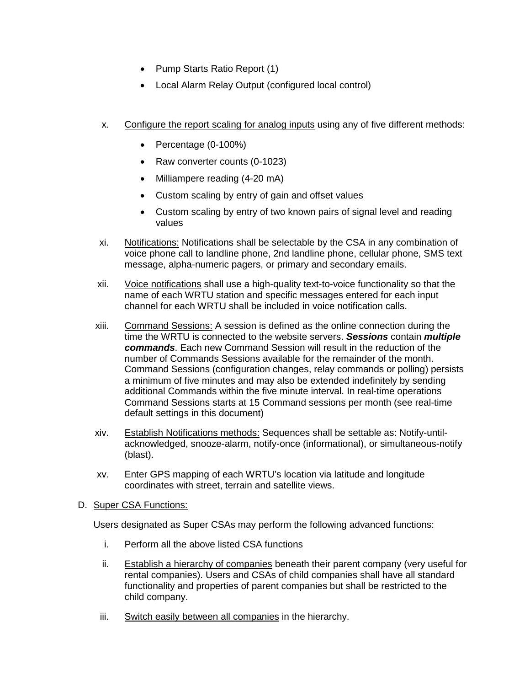- Pump Starts Ratio Report (1)
- Local Alarm Relay Output (configured local control)
- x. Configure the report scaling for analog inputs using any of five different methods:
	- Percentage (0-100%)
	- Raw converter counts (0-1023)
	- Milliampere reading (4-20 mA)
	- Custom scaling by entry of gain and offset values
	- Custom scaling by entry of two known pairs of signal level and reading values
- xi. Notifications: Notifications shall be selectable by the CSA in any combination of voice phone call to landline phone, 2nd landline phone, cellular phone, SMS text message, alpha-numeric pagers, or primary and secondary emails.
- xii. Voice notifications shall use a high-quality text-to-voice functionality so that the name of each WRTU station and specific messages entered for each input channel for each WRTU shall be included in voice notification calls.
- xiii. Command Sessions: A session is defined as the online connection during the time the WRTU is connected to the website servers. *Sessions* contain *multiple commands*. Each new Command Session will result in the reduction of the number of Commands Sessions available for the remainder of the month. Command Sessions (configuration changes, relay commands or polling) persists a minimum of five minutes and may also be extended indefinitely by sending additional Commands within the five minute interval. In real-time operations Command Sessions starts at 15 Command sessions per month (see real-time default settings in this document)
- xiv. Establish Notifications methods: Sequences shall be settable as: Notify-untilacknowledged, snooze-alarm, notify-once (informational), or simultaneous-notify (blast).
- xv. Enter GPS mapping of each WRTU's location via latitude and longitude coordinates with street, terrain and satellite views.
- D. Super CSA Functions:

Users designated as Super CSAs may perform the following advanced functions:

- i. Perform all the above listed CSA functions
- ii. Establish a hierarchy of companies beneath their parent company (very useful for rental companies). Users and CSAs of child companies shall have all standard functionality and properties of parent companies but shall be restricted to the child company.
- iii. Switch easily between all companies in the hierarchy.